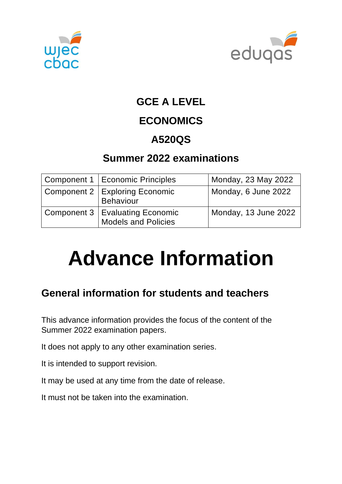



## **GCE A LEVEL**

# **ECONOMICS**

# **A520QS**

## **Summer 2022 examinations**

| Component 1   Economic Principles                               | Monday, 23 May 2022  |
|-----------------------------------------------------------------|----------------------|
| Component 2   Exploring Economic<br><b>Behaviour</b>            | Monday, 6 June 2022  |
| Component 3   Evaluating Economic<br><b>Models and Policies</b> | Monday, 13 June 2022 |

# **Advance Information**

# **General information for students and teachers**

This advance information provides the focus of the content of the Summer 2022 examination papers.

It does not apply to any other examination series.

It is intended to support revision.

It may be used at any time from the date of release.

It must not be taken into the examination.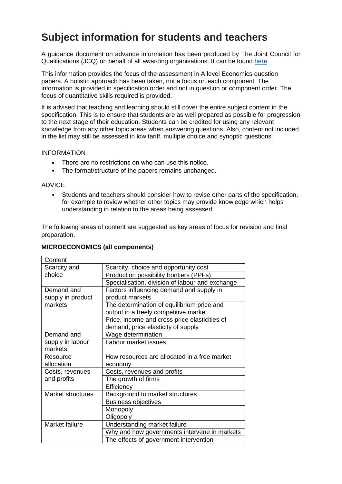## **Subject information for students and teachers**

A guidance document on advance information has been produced by The Joint Council for Qualifications (JCQ) on behalf of all awarding organisations. It can be found [here.](https://www.jcq.org.uk/wp-content/uploads/2021/10/Advance-Information-for-General-Qualifications-2021-22.pdf)

This information provides the focus of the assessment in A level Economics question papers. A holistic approach has been taken, not a focus on each component. The information is provided in specification order and not in question or component order. The focus of quantitative skills required is provided.

It is advised that teaching and learning should still cover the entire subject content in the specification. This is to ensure that students are as well prepared as possible for progression to the next stage of their education. Students can be credited for using any relevant knowledge from any other topic areas when answering questions. Also, content not included in the list may still be assessed in low tariff, multiple choice and synoptic questions.

#### INFORMATION

- There are no restrictions on who can use this notice.
- The format/structure of the papers remains unchanged.

#### ADVICE

• Students and teachers should consider how to revise other parts of the specification, for example to review whether other topics may provide knowledge which helps understanding in relation to the areas being assessed.

The following areas of content are suggested as key areas of focus for revision and final preparation.

#### **MICROECONOMICS (all components)**

| Content           |                                                 |  |
|-------------------|-------------------------------------------------|--|
| Scarcity and      | Scarcity, choice and opportunity cost           |  |
| choice            | Production possibility frontiers (PPFs)         |  |
|                   | Specialisation, division of labour and exchange |  |
| Demand and        | Factors influencing demand and supply in        |  |
| supply in product | product markets                                 |  |
| markets           | The determination of equilibrium price and      |  |
|                   | output in a freely competitive market           |  |
|                   | Price, income and cross price elasticities of   |  |
|                   | demand, price elasticity of supply              |  |
| Demand and        | Wage determination                              |  |
| supply in labour  | Labour market issues                            |  |
| markets           |                                                 |  |
| Resource          | How resources are allocated in a free market    |  |
| allocation        | economy                                         |  |
| Costs, revenues   | Costs, revenues and profits                     |  |
| and profits       | The growth of firms                             |  |
|                   | Efficiency                                      |  |
| Market structures | Background to market structures                 |  |
|                   | <b>Business objectives</b>                      |  |
|                   | Monopoly                                        |  |
|                   | Oligopoly                                       |  |
| Market failure    | Understanding market failure                    |  |
|                   | Why and how governments intervene in markets    |  |
|                   | The effects of government intervention          |  |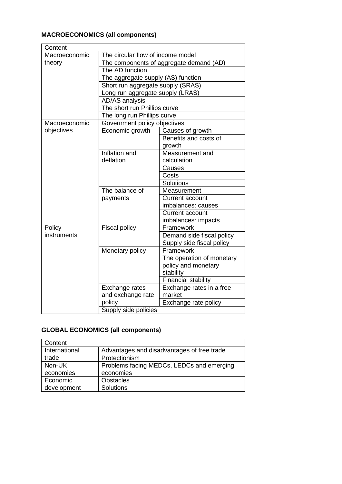## **MACROECONOMICS (all components)**

| Content       |                                         |                            |  |
|---------------|-----------------------------------------|----------------------------|--|
| Macroeconomic | The circular flow of income model       |                            |  |
| theory        | The components of aggregate demand (AD) |                            |  |
|               | The AD function                         |                            |  |
|               | The aggregate supply (AS) function      |                            |  |
|               | Short run aggregate supply (SRAS)       |                            |  |
|               | Long run aggregate supply (LRAS)        |                            |  |
|               | AD/AS analysis                          |                            |  |
|               | The short run Phillips curve            |                            |  |
|               | The long run Phillips curve             |                            |  |
| Macroeconomic | Government policy objectives            |                            |  |
| objectives    | Economic growth                         | Causes of growth           |  |
|               |                                         | Benefits and costs of      |  |
|               |                                         | growth                     |  |
|               | Inflation and                           | Measurement and            |  |
|               | deflation                               | calculation                |  |
|               |                                         | Causes                     |  |
|               |                                         | Costs                      |  |
|               |                                         | Solutions                  |  |
|               | The balance of                          | Measurement                |  |
|               | payments                                | <b>Current account</b>     |  |
|               |                                         | imbalances: causes         |  |
|               |                                         | Current account            |  |
|               |                                         | imbalances: impacts        |  |
| Policy        | <b>Fiscal policy</b>                    | Framework                  |  |
| instruments   |                                         | Demand side fiscal policy  |  |
|               |                                         | Supply side fiscal policy  |  |
|               | Monetary policy                         | Framework                  |  |
|               |                                         | The operation of monetary  |  |
|               |                                         | policy and monetary        |  |
|               |                                         | stability                  |  |
|               |                                         | <b>Financial stability</b> |  |
|               | Exchange rates                          | Exchange rates in a free   |  |
|               | and exchange rate                       | market                     |  |
|               | policy                                  | Exchange rate policy       |  |
|               | Supply side policies                    |                            |  |

## **GLOBAL ECONOMICS (all components)**

| Content       |                                            |  |
|---------------|--------------------------------------------|--|
| International | Advantages and disadvantages of free trade |  |
| trade         | Protectionism                              |  |
| Non-UK        | Problems facing MEDCs, LEDCs and emerging  |  |
| economies     | economies                                  |  |
| Economic      | <b>Obstacles</b>                           |  |
| development   | Solutions                                  |  |